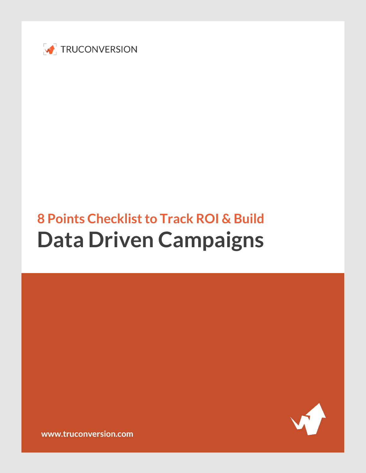

# **8 Points Checklist to Track ROI & Build Data Driven Campaigns**



**[www.truconversion.com](http://www.truconversion.com/)**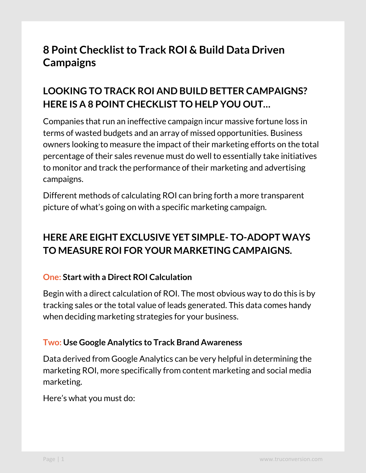# **8 Point Checklist to Track ROI & Build Data Driven Campaigns**

# **LOOKING TO TRACK ROI AND BUILD BETTER CAMPAIGNS? HERE IS A 8 POINT CHECKLIST TO HELP YOU OUT…**

Companies that run an ineffective campaign incur massive fortune loss in terms of wasted budgets and an array of missed opportunities. Business owners looking to measure the impact of their marketing efforts on the total percentage of their sales revenue must do well to essentially take initiatives to monitor and track the performance of their marketing and advertising campaigns.

Different methods of calculating ROI can bring forth a more transparent picture of what's going on with a specific marketing campaign.

# **HERE ARE EIGHT EXCLUSIVE YET SIMPLE- TO-ADOPT WAYS TO MEASURE ROI FOR YOUR MARKETING CAMPAIGNS.**

#### **One: Start with a Direct ROI Calculation**

Begin with a direct calculation of ROI. The most obvious way to do this is by tracking sales or the total value of leads generated. This data comes handy when deciding marketing strategies for your business.

#### **Two: Use Google Analytics to Track Brand Awareness**

Data derived from Google Analytics can be very helpful in determining the marketing ROI, more specifically from content marketing and social media marketing.

Here's what you must do: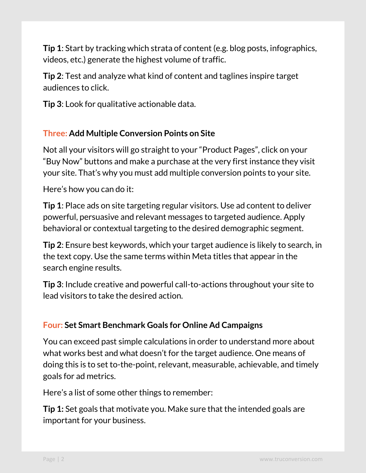**Tip 1**: Start by tracking which strata of content (e.g. blog posts, infographics, videos, etc.) generate the highest volume of traffic.

**Tip 2**: Test and analyze what kind of content and taglines inspire target audiences to click.

**Tip 3**: Look for qualitative actionable data.

## **Three: Add Multiple Conversion Points on Site**

Not all your visitors will go straight to your "Product Pages", click on your "Buy Now" buttons and make a purchase at the very first instance they visit your site. That's why you must add multiple conversion points to your site.

Here's how you can do it:

**Tip 1**: Place ads on site targeting regular visitors. Use ad content to deliver powerful, persuasive and relevant messages to targeted audience. Apply behavioral or contextual targeting to the desired demographic segment.

**Tip 2**: Ensure best keywords, which your target audience is likely to search, in the text copy. Use the same terms within Meta titles that appear in the search engine results.

**Tip 3**: Include creative and powerful call-to-actions throughout your site to lead visitors to take the desired action.

#### **Four: Set Smart Benchmark Goals for Online Ad Campaigns**

You can exceed past simple calculations in order to understand more about what works best and what doesn't for the target audience. One means of doing this is to set to-the-point, relevant, measurable, achievable, and timely goals for ad metrics.

Here's a list of some other things to remember:

**Tip 1:** Set goals that motivate you. Make sure that the intended goals are important for your business.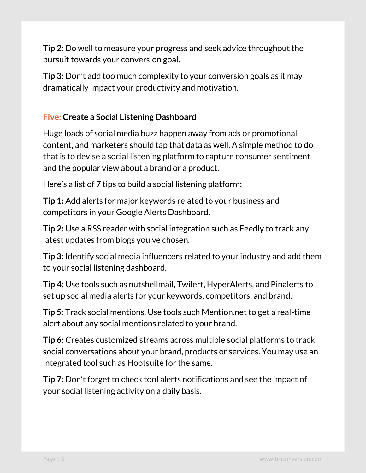**Tip 2:** Do well to measure your progress and seek advice throughout the pursuit towards your conversion goal.

**Tip 3:** Don't add too much complexity to your conversion goals as it may dramatically impact your productivity and motivation.

## **Five: Create a Social Listening Dashboard**

Huge loads of social media buzz happen away from ads or promotional content, and marketers should tap that data as well. A simple method to do that is to devise a social listening platform to capture consumer sentiment and the popular view about a brand or a product.

Here's a list of 7 tips to build a social listening platform:

**Tip 1:** Add alerts for major keywords related to your business and competitors in your Google Alerts Dashboard.

**Tip 2:** Use a RSS reader with social integration such as Feedly to track any latest updates from blogs you've chosen.

**Tip 3:** Identify social media influencers related to your industry and add them to your social listening dashboard.

**Tip 4:** Use tools such as nutshellmail, Twilert, HyperAlerts, and Pinalerts to set up social media alerts for your keywords, competitors, and brand.

**Tip 5:** Track social mentions. Use tools such Mention.net to get a real-time alert about any social mentions related to your brand.

**Tip 6:** Creates customized streams across multiple social platforms to track social conversations about your brand, products or services. You may use an integrated tool such as Hootsuite for the same.

**Tip 7:** Don't forget to check tool alerts notifications and see the impact of your social listening activity on a daily basis.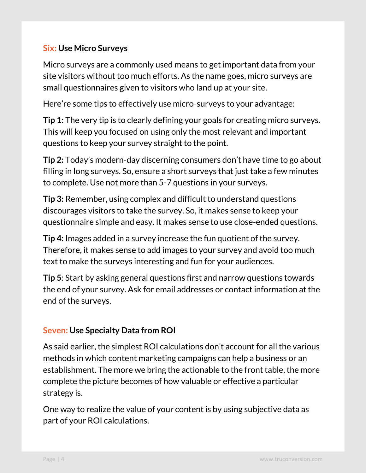## **Six: Use Micro Surveys**

Micro surveys are a commonly used means to get important data from your site visitors without too much efforts. As the name goes, micro surveys are small questionnaires given to visitors who land up at your site.

Here're some tips to effectively use micro-surveys to your advantage:

**Tip 1:** The very tip is to clearly defining your goals for creating micro surveys. This will keep you focused on using only the most relevant and important questions to keep your survey straight to the point.

**Tip 2:** Today's modern-day discerning consumers don't have time to go about filling in long surveys. So, ensure a short surveys that just take a few minutes to complete. Use not more than 5-7 questions in your surveys.

**Tip 3:** Remember, using complex and difficult to understand questions discourages visitors to take the survey. So, it makes sense to keep your questionnaire simple and easy. It makes sense to use close-ended questions.

**Tip 4:** Images added in a survey increase the fun quotient of the survey. Therefore, it makes sense to add images to your survey and avoid too much text to make the surveys interesting and fun for your audiences.

**Tip 5**: Start by asking general questions first and narrow questions towards the end of your survey. Ask for email addresses or contact information at the end of the surveys.

#### **Seven: Use Specialty Data from ROI**

As said earlier, the simplest ROI calculations don't account for all the various methods in which content marketing campaigns can help a business or an establishment. The more we bring the actionable to the front table, the more complete the picture becomes of how valuable or effective a particular strategy is.

One way to realize the value of your content is by using subjective data as part of your ROI calculations.